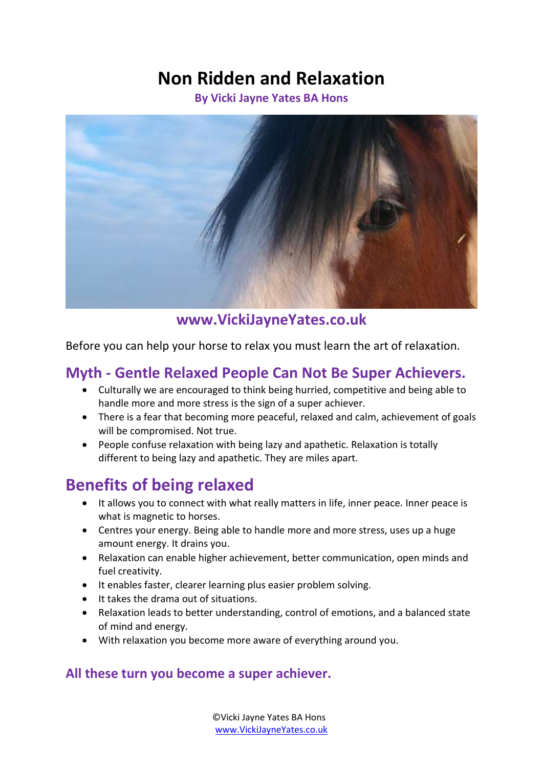# **Non Ridden and Relaxation**

**By Vicki Jayne Yates BA Hons** 



#### **www.VickiJayneYates.co.uk**

Before you can help your horse to relax you must learn the art of relaxation.

### **Myth - Gentle Relaxed People Can Not Be Super Achievers.**

- Culturally we are encouraged to think being hurried, competitive and being able to handle more and more stress is the sign of a super achiever.
- There is a fear that becoming more peaceful, relaxed and calm, achievement of goals will be compromised. Not true.
- People confuse relaxation with being lazy and apathetic. Relaxation is totally different to being lazy and apathetic. They are miles apart.

## **Benefits of being relaxed**

- It allows you to connect with what really matters in life, inner peace. Inner peace is what is magnetic to horses.
- Centres your energy. Being able to handle more and more stress, uses up a huge amount energy. It drains you.
- Relaxation can enable higher achievement, better communication, open minds and fuel creativity.
- It enables faster, clearer learning plus easier problem solving.
- It takes the drama out of situations.
- Relaxation leads to better understanding, control of emotions, and a balanced state of mind and energy.
- With relaxation you become more aware of everything around you.

#### **All these turn you become a super achiever.**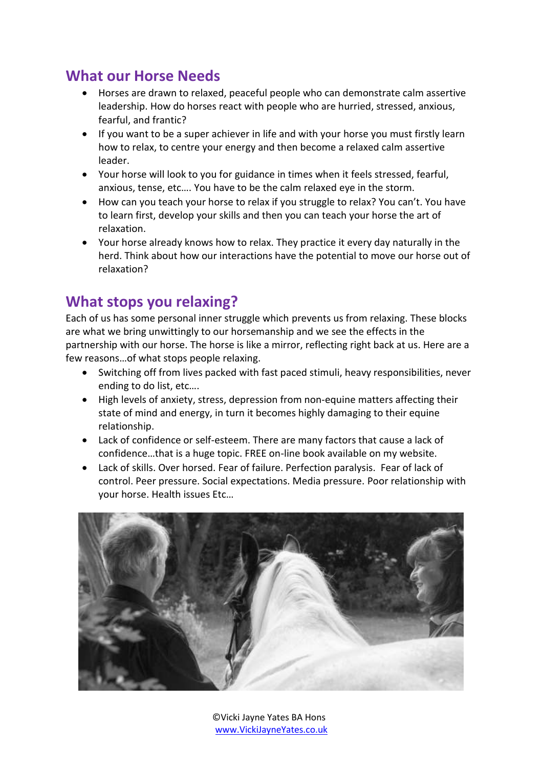### **What our Horse Needs**

- Horses are drawn to relaxed, peaceful people who can demonstrate calm assertive leadership. How do horses react with people who are hurried, stressed, anxious, fearful, and frantic?
- If you want to be a super achiever in life and with your horse you must firstly learn how to relax, to centre your energy and then become a relaxed calm assertive leader.
- Your horse will look to you for guidance in times when it feels stressed, fearful, anxious, tense, etc…. You have to be the calm relaxed eye in the storm.
- How can you teach your horse to relax if you struggle to relax? You can't. You have to learn first, develop your skills and then you can teach your horse the art of relaxation.
- Your horse already knows how to relax. They practice it every day naturally in the herd. Think about how our interactions have the potential to move our horse out of relaxation?

### **What stops you relaxing?**

Each of us has some personal inner struggle which prevents us from relaxing. These blocks are what we bring unwittingly to our horsemanship and we see the effects in the partnership with our horse. The horse is like a mirror, reflecting right back at us. Here are a few reasons…of what stops people relaxing.

- Switching off from lives packed with fast paced stimuli, heavy responsibilities, never ending to do list, etc….
- High levels of anxiety, stress, depression from non-equine matters affecting their state of mind and energy, in turn it becomes highly damaging to their equine relationship.
- Lack of confidence or self-esteem. There are many factors that cause a lack of confidence…that is a huge topic. FREE on-line book available on my website.
- Lack of skills. Over horsed. Fear of failure. Perfection paralysis. Fear of lack of control. Peer pressure. Social expectations. Media pressure. Poor relationship with your horse. Health issues Etc…



©Vicki Jayne Yates BA Hons [www.VickiJayneYates.co.uk](http://www.vickijayneyates.co.uk/)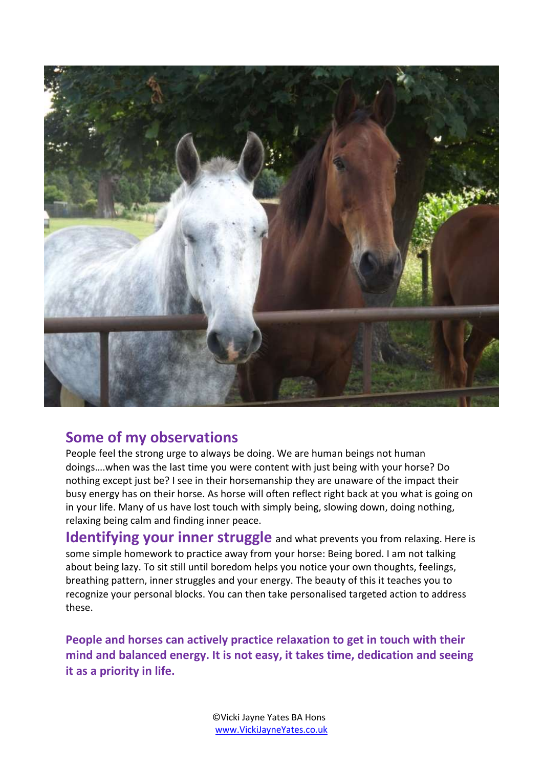

### **Some of my observations**

People feel the strong urge to always be doing. We are human beings not human doings….when was the last time you were content with just being with your horse? Do nothing except just be? I see in their horsemanship they are unaware of the impact their busy energy has on their horse. As horse will often reflect right back at you what is going on in your life. Many of us have lost touch with simply being, slowing down, doing nothing, relaxing being calm and finding inner peace.

**Identifying your inner struggle** and what prevents you from relaxing. Here is some simple homework to practice away from your horse: Being bored. I am not talking about being lazy. To sit still until boredom helps you notice your own thoughts, feelings, breathing pattern, inner struggles and your energy. The beauty of this it teaches you to recognize your personal blocks. You can then take personalised targeted action to address these.

**People and horses can actively practice relaxation to get in touch with their mind and balanced energy. It is not easy, it takes time, dedication and seeing it as a priority in life.**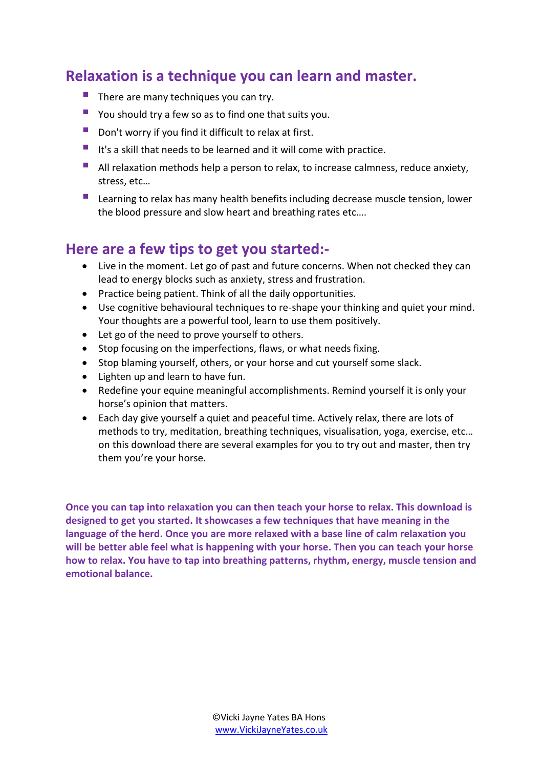### **Relaxation is a technique you can learn and master.**

- $\blacksquare$  There are many techniques you can try.
- **P** You should try a few so as to find one that suits you.
- Don't worry if you find it difficult to relax at first.
- It's a skill that needs to be learned and it will come with practice.
- All relaxation methods help a person to relax, to increase calmness, reduce anxiety, stress, etc…
- **Learning to relax has many health benefits including decrease muscle tension, lower** the blood pressure and slow heart and breathing rates etc….

### **Here are a few tips to get you started:-**

- Live in the moment. Let go of past and future concerns. When not checked they can lead to energy blocks such as anxiety, stress and frustration.
- Practice being patient. Think of all the daily opportunities.
- Use cognitive behavioural techniques to re-shape your thinking and quiet your mind. Your thoughts are a powerful tool, learn to use them positively.
- Let go of the need to prove yourself to others.
- Stop focusing on the imperfections, flaws, or what needs fixing.
- Stop blaming yourself, others, or your horse and cut yourself some slack.
- Lighten up and learn to have fun.
- Redefine your equine meaningful accomplishments. Remind yourself it is only your horse's opinion that matters.
- Each day give yourself a quiet and peaceful time. Actively relax, there are lots of methods to try, meditation, breathing techniques, visualisation, yoga, exercise, etc… on this download there are several examples for you to try out and master, then try them you're your horse.

**Once you can tap into relaxation you can then teach your horse to relax. This download is designed to get you started. It showcases a few techniques that have meaning in the language of the herd. Once you are more relaxed with a base line of calm relaxation you will be better able feel what is happening with your horse. Then you can teach your horse how to relax. You have to tap into breathing patterns, rhythm, energy, muscle tension and emotional balance.**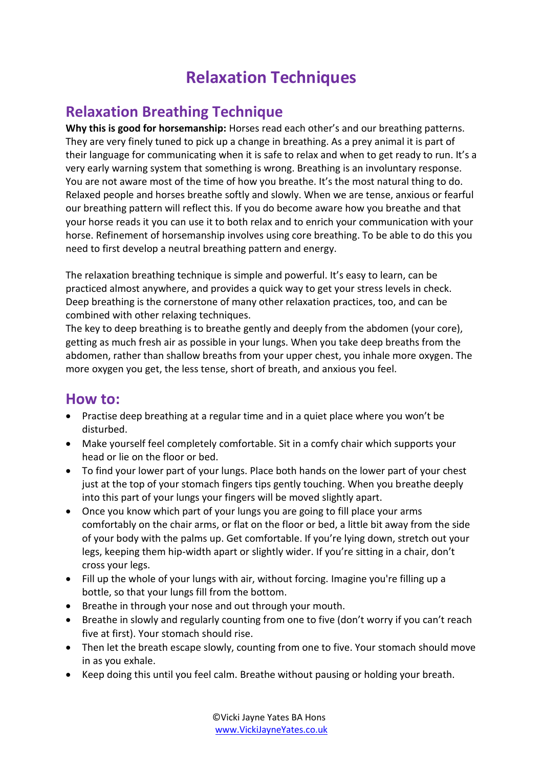# **Relaxation Techniques**

### **Relaxation Breathing Technique**

**Why this is good for horsemanship:** Horses read each other's and our breathing patterns. They are very finely tuned to pick up a change in breathing. As a prey animal it is part of their language for communicating when it is safe to relax and when to get ready to run. It's a very early warning system that something is wrong. Breathing is an involuntary response. You are not aware most of the time of how you breathe. It's the most natural thing to do. Relaxed people and horses breathe softly and slowly. When we are tense, anxious or fearful our breathing pattern will reflect this. If you do become aware how you breathe and that your horse reads it you can use it to both relax and to enrich your communication with your horse. Refinement of horsemanship involves using core breathing. To be able to do this you need to first develop a neutral breathing pattern and energy.

The relaxation breathing technique is simple and powerful. It's easy to learn, can be practiced almost anywhere, and provides a quick way to get your stress levels in check. Deep breathing is the cornerstone of many other relaxation practices, too, and can be combined with other relaxing techniques.

The key to deep breathing is to breathe gently and deeply from the abdomen (your core), getting as much fresh air as possible in your lungs. When you take deep breaths from the abdomen, rather than shallow breaths from your upper chest, you inhale more oxygen. The more oxygen you get, the less tense, short of breath, and anxious you feel.

#### **How to:**

- Practise deep breathing at a regular time and in a quiet place where you won't be disturbed.
- Make yourself feel completely comfortable. Sit in a comfy chair which supports your head or lie on the floor or bed.
- To find your lower part of your lungs. Place both hands on the lower part of your chest just at the top of your stomach fingers tips gently touching. When you breathe deeply into this part of your lungs your fingers will be moved slightly apart.
- Once you know which part of your lungs you are going to fill place your arms comfortably on the chair arms, or flat on the floor or bed, a little bit away from the side of your body with the palms up. Get comfortable. If you're lying down, stretch out your legs, keeping them hip-width apart or slightly wider. If you're sitting in a chair, don't cross your legs.
- Fill up the whole of your lungs with air, without forcing. Imagine you're filling up a bottle, so that your lungs fill from the bottom.
- Breathe in through your nose and out through your mouth.
- Breathe in slowly and regularly counting from one to five (don't worry if you can't reach five at first). Your stomach should rise.
- Then let the breath escape slowly, counting from one to five. Your stomach should move in as you exhale.
- Keep doing this until you feel calm. Breathe without pausing or holding your breath.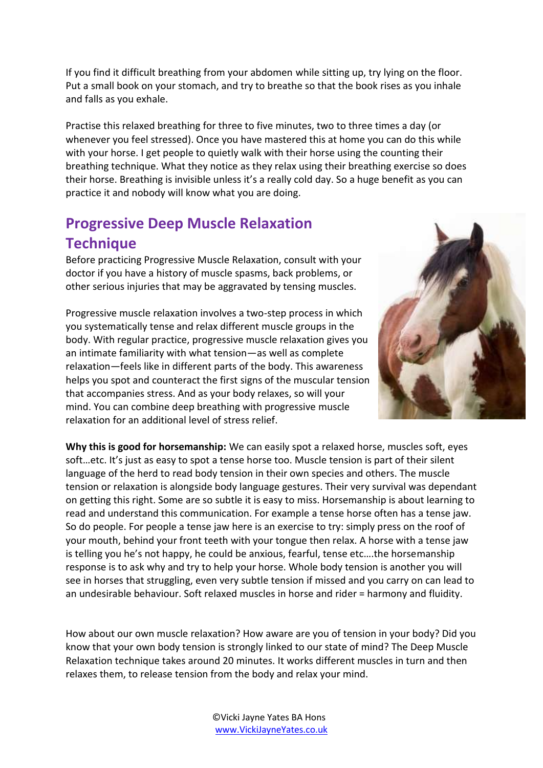If you find it difficult breathing from your abdomen while sitting up, try lying on the floor. Put a small book on your stomach, and try to breathe so that the book rises as you inhale and falls as you exhale.

Practise this relaxed breathing for three to five minutes, two to three times a day (or whenever you feel stressed). Once you have mastered this at home you can do this while with your horse. I get people to quietly walk with their horse using the counting their breathing technique. What they notice as they relax using their breathing exercise so does their horse. Breathing is invisible unless it's a really cold day. So a huge benefit as you can practice it and nobody will know what you are doing.

## **Progressive Deep Muscle Relaxation Technique**

Before practicing Progressive Muscle Relaxation, consult with your doctor if you have a history of muscle spasms, back problems, or other serious injuries that may be aggravated by tensing muscles.

Progressive muscle relaxation involves a two-step process in which you systematically tense and relax different muscle groups in the body. With regular practice, progressive muscle relaxation gives you an intimate familiarity with what tension—as well as complete relaxation—feels like in different parts of the body. This awareness helps you spot and counteract the first signs of the muscular tension that accompanies stress. And as your body relaxes, so will your mind. You can combine deep breathing with progressive muscle relaxation for an additional level of stress relief.



**Why this is good for horsemanship:** We can easily spot a relaxed horse, muscles soft, eyes soft…etc. It's just as easy to spot a tense horse too. Muscle tension is part of their silent language of the herd to read body tension in their own species and others. The muscle tension or relaxation is alongside body language gestures. Their very survival was dependant on getting this right. Some are so subtle it is easy to miss. Horsemanship is about learning to read and understand this communication. For example a tense horse often has a tense jaw. So do people. For people a tense jaw here is an exercise to try: simply press on the roof of your mouth, behind your front teeth with your tongue then relax. A horse with a tense jaw is telling you he's not happy, he could be anxious, fearful, tense etc….the horsemanship response is to ask why and try to help your horse. Whole body tension is another you will see in horses that struggling, even very subtle tension if missed and you carry on can lead to an undesirable behaviour. Soft relaxed muscles in horse and rider = harmony and fluidity.

How about our own muscle relaxation? How aware are you of tension in your body? Did you know that your own body tension is strongly linked to our state of mind? The Deep Muscle Relaxation technique takes around 20 minutes. It works different muscles in turn and then relaxes them, to release tension from the body and relax your mind.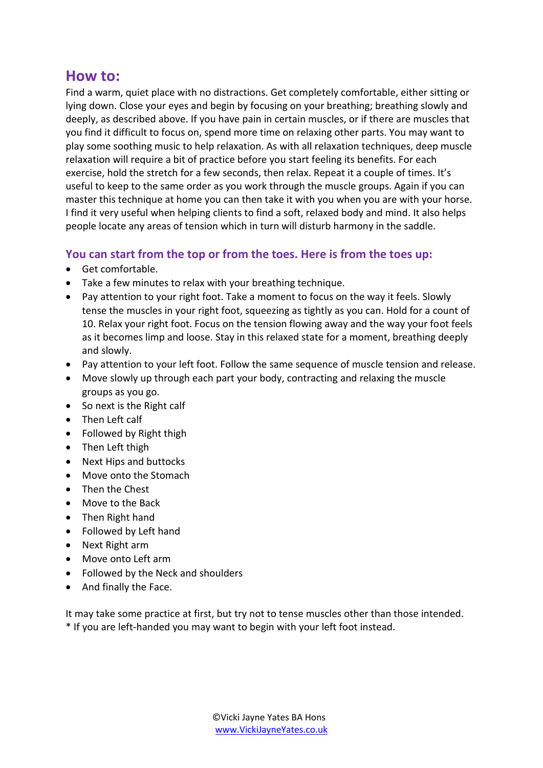### **How to:**

Find a warm, quiet place with no distractions. Get completely comfortable, either sitting or lying down. Close your eyes and begin by focusing on your breathing; breathing slowly and deeply, as described above. If you have pain in certain muscles, or if there are muscles that you find it difficult to focus on, spend more time on relaxing other parts. You may want to play some soothing music to help relaxation. As with all relaxation techniques, deep muscle relaxation will require a bit of practice before you start feeling its benefits. For each exercise, hold the stretch for a few seconds, then relax. Repeat it a couple of times. It's useful to keep to the same order as you work through the muscle groups. Again if you can master this technique at home you can then take it with you when you are with your horse. I find it very useful when helping clients to find a soft, relaxed body and mind. It also helps people locate any areas of tension which in turn will disturb harmony in the saddle.

#### **You can start from the top or from the toes. Here is from the toes up:**

- Get comfortable.
- Take a few minutes to relax with your breathing technique.
- Pay attention to your right foot. Take a moment to focus on the way it feels. Slowly tense the muscles in your right foot, squeezing as tightly as you can. Hold for a count of 10. Relax your right foot. Focus on the tension flowing away and the way your foot feels as it becomes limp and loose. Stay in this relaxed state for a moment, breathing deeply and slowly.
- Pay attention to your left foot. Follow the same sequence of muscle tension and release.
- Move slowly up through each part your body, contracting and relaxing the muscle groups as you go.
- So next is the Right calf
- Then Left calf
- Followed by Right thigh
- Then Left thigh
- Next Hips and buttocks
- Move onto the Stomach
- Then the Chest
- Move to the Back
- Then Right hand
- Followed by Left hand
- Next Right arm
- Move onto Left arm
- Followed by the Neck and shoulders
- And finally the Face.

It may take some practice at first, but try not to tense muscles other than those intended. \* If you are left-handed you may want to begin with your left foot instead.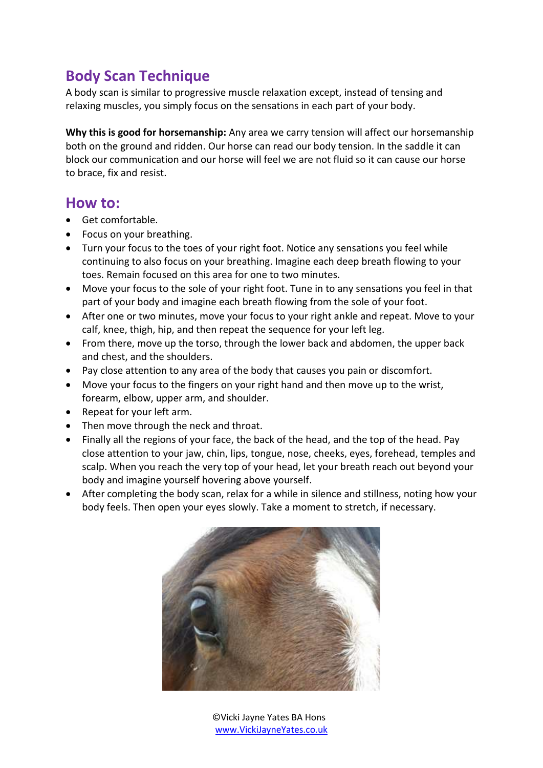## **Body Scan Technique**

A body scan is similar to progressive muscle relaxation except, instead of tensing and relaxing muscles, you simply focus on the sensations in each part of your body.

**Why this is good for horsemanship:** Any area we carry tension will affect our horsemanship both on the ground and ridden. Our horse can read our body tension. In the saddle it can block our communication and our horse will feel we are not fluid so it can cause our horse to brace, fix and resist.

#### **How to:**

- Get comfortable.
- Focus on your breathing.
- Turn your focus to the toes of your right foot. Notice any sensations you feel while continuing to also focus on your breathing. Imagine each deep breath flowing to your toes. Remain focused on this area for one to two minutes.
- Move your focus to the sole of your right foot. Tune in to any sensations you feel in that part of your body and imagine each breath flowing from the sole of your foot.
- After one or two minutes, move your focus to your right ankle and repeat. Move to your calf, knee, thigh, hip, and then repeat the sequence for your left leg.
- From there, move up the torso, through the lower back and abdomen, the upper back and chest, and the shoulders.
- Pay close attention to any area of the body that causes you pain or discomfort.
- Move your focus to the fingers on your right hand and then move up to the wrist, forearm, elbow, upper arm, and shoulder.
- Repeat for your left arm.
- Then move through the neck and throat.
- Finally all the regions of your face, the back of the head, and the top of the head. Pay close attention to your jaw, chin, lips, tongue, nose, cheeks, eyes, forehead, temples and scalp. When you reach the very top of your head, let your breath reach out beyond your body and imagine yourself hovering above yourself.
- After completing the body scan, relax for a while in silence and stillness, noting how your body feels. Then open your eyes slowly. Take a moment to stretch, if necessary.



©Vicki Jayne Yates BA Hons [www.VickiJayneYates.co.uk](http://www.vickijayneyates.co.uk/)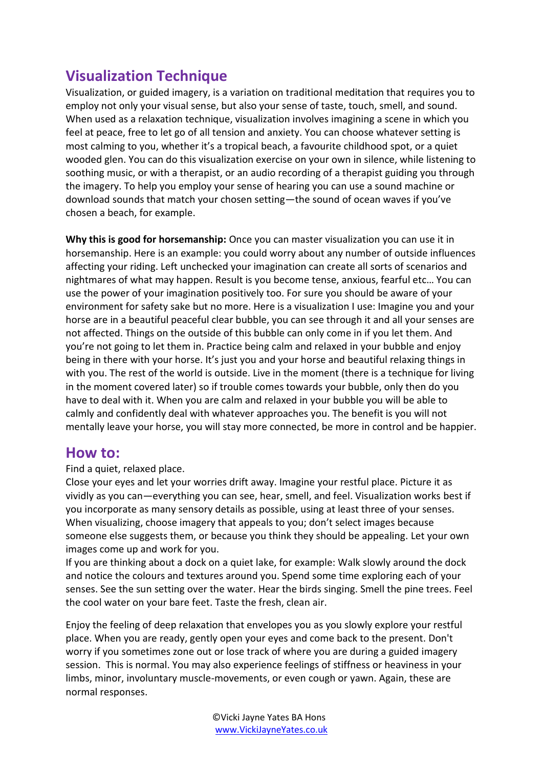## **Visualization Technique**

Visualization, or guided imagery, is a variation on traditional meditation that requires you to employ not only your visual sense, but also your sense of taste, touch, smell, and sound. When used as a relaxation technique, visualization involves imagining a scene in which you feel at peace, free to let go of all tension and anxiety. You can choose whatever setting is most calming to you, whether it's a tropical beach, a favourite childhood spot, or a quiet wooded glen. You can do this visualization exercise on your own in silence, while listening to soothing music, or with a therapist, or an audio recording of a therapist guiding you through the imagery. To help you employ your sense of hearing you can use a sound machine or download sounds that match your chosen setting—the sound of ocean waves if you've chosen a beach, for example.

**Why this is good for horsemanship:** Once you can master visualization you can use it in horsemanship. Here is an example: you could worry about any number of outside influences affecting your riding. Left unchecked your imagination can create all sorts of scenarios and nightmares of what may happen. Result is you become tense, anxious, fearful etc… You can use the power of your imagination positively too. For sure you should be aware of your environment for safety sake but no more. Here is a visualization I use: Imagine you and your horse are in a beautiful peaceful clear bubble, you can see through it and all your senses are not affected. Things on the outside of this bubble can only come in if you let them. And you're not going to let them in. Practice being calm and relaxed in your bubble and enjoy being in there with your horse. It's just you and your horse and beautiful relaxing things in with you. The rest of the world is outside. Live in the moment (there is a technique for living in the moment covered later) so if trouble comes towards your bubble, only then do you have to deal with it. When you are calm and relaxed in your bubble you will be able to calmly and confidently deal with whatever approaches you. The benefit is you will not mentally leave your horse, you will stay more connected, be more in control and be happier.

### **How to:**

Find a quiet, relaxed place.

Close your eyes and let your worries drift away. Imagine your restful place. Picture it as vividly as you can—everything you can see, hear, smell, and feel. Visualization works best if you incorporate as many sensory details as possible, using at least three of your senses. When visualizing, choose imagery that appeals to you; don't select images because someone else suggests them, or because you think they should be appealing. Let your own images come up and work for you.

If you are thinking about a dock on a quiet lake, for example: Walk slowly around the dock and notice the colours and textures around you. Spend some time exploring each of your senses. See the sun setting over the water. Hear the birds singing. Smell the pine trees. Feel the cool water on your bare feet. Taste the fresh, clean air.

Enjoy the feeling of deep relaxation that envelopes you as you slowly explore your restful place. When you are ready, gently open your eyes and come back to the present. Don't worry if you sometimes zone out or lose track of where you are during a guided imagery session. This is normal. You may also experience feelings of stiffness or heaviness in your limbs, minor, involuntary muscle-movements, or even cough or yawn. Again, these are normal responses.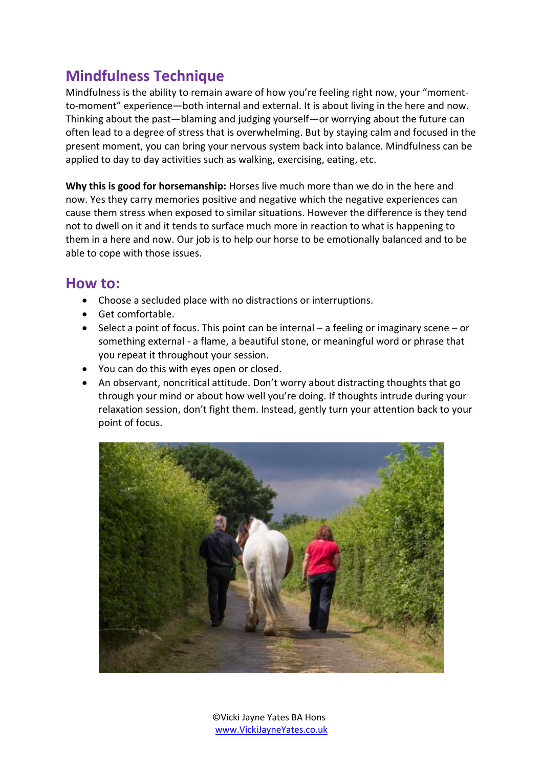## **Mindfulness Technique**

Mindfulness is the ability to remain aware of how you're feeling right now, your "momentto-moment" experience—both internal and external. It is about living in the here and now. Thinking about the past—blaming and judging yourself—or worrying about the future can often lead to a degree of stress that is overwhelming. But by staying calm and focused in the present moment, you can bring your nervous system back into balance. Mindfulness can be applied to day to day activities such as walking, exercising, eating, etc.

**Why this is good for horsemanship:** Horses live much more than we do in the here and now. Yes they carry memories positive and negative which the negative experiences can cause them stress when exposed to similar situations. However the difference is they tend not to dwell on it and it tends to surface much more in reaction to what is happening to them in a here and now. Our job is to help our horse to be emotionally balanced and to be able to cope with those issues.

### **How to:**

- Choose a secluded place with no distractions or interruptions.
- Get comfortable.
- $\bullet$  Select a point of focus. This point can be internal a feeling or imaginary scene or something external - a flame, a beautiful stone, or meaningful word or phrase that you repeat it throughout your session.
- You can do this with eyes open or closed.
- An observant, noncritical attitude. Don't worry about distracting thoughts that go through your mind or about how well you're doing. If thoughts intrude during your relaxation session, don't fight them. Instead, gently turn your attention back to your point of focus.

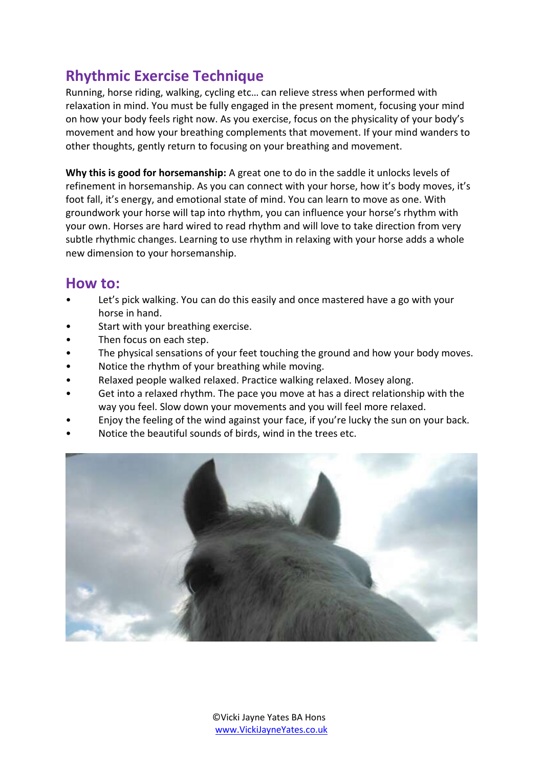## **Rhythmic Exercise Technique**

Running, horse riding, walking, cycling etc… can relieve stress when performed with relaxation in mind. You must be fully engaged in the present moment, focusing your mind on how your body feels right now. As you exercise, focus on the physicality of your body's movement and how your breathing complements that movement. If your mind wanders to other thoughts, gently return to focusing on your breathing and movement.

**Why this is good for horsemanship:** A great one to do in the saddle it unlocks levels of refinement in horsemanship. As you can connect with your horse, how it's body moves, it's foot fall, it's energy, and emotional state of mind. You can learn to move as one. With groundwork your horse will tap into rhythm, you can influence your horse's rhythm with your own. Horses are hard wired to read rhythm and will love to take direction from very subtle rhythmic changes. Learning to use rhythm in relaxing with your horse adds a whole new dimension to your horsemanship.

### **How to:**

- Let's pick walking. You can do this easily and once mastered have a go with your horse in hand.
- Start with your breathing exercise.
- Then focus on each step.
- The physical sensations of your feet touching the ground and how your body moves.
- Notice the rhythm of your breathing while moving.
- Relaxed people walked relaxed. Practice walking relaxed. Mosey along.
- Get into a relaxed rhythm. The pace you move at has a direct relationship with the way you feel. Slow down your movements and you will feel more relaxed.
- Enjoy the feeling of the wind against your face, if you're lucky the sun on your back.
- Notice the beautiful sounds of birds, wind in the trees etc.